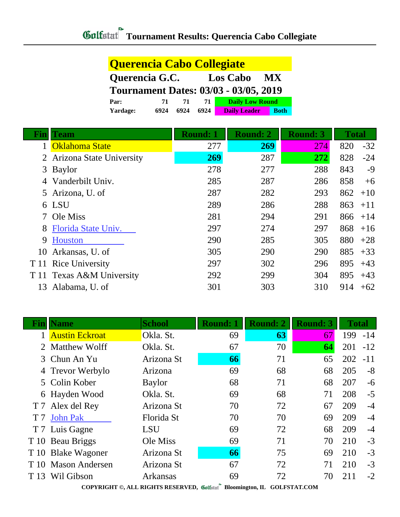| Querencia Cabo Collegiate |      |      |      |                                              |             |  |
|---------------------------|------|------|------|----------------------------------------------|-------------|--|
| Querencia G.C.            |      |      |      | <b>Los Cabo</b>                              | <b>MX</b>   |  |
|                           |      |      |      | <b>Tournament Dates: 03/03 - 03/05, 2019</b> |             |  |
| Par:                      | 71   | 71   | 71.  | <b>Daily Low Round</b>                       |             |  |
| Yardage:                  | 6924 | 6924 | 6924 | <b>Daily Leader</b>                          | <b>Both</b> |  |

| Bını | <b>Team</b>                | <b>Round: 1</b> | <b>Round: 2</b> | <b>Round: 3</b> | <b>Total</b> |       |
|------|----------------------------|-----------------|-----------------|-----------------|--------------|-------|
|      | <b>Oklahoma State</b>      | 277             | 269             | 274             | 820          | $-32$ |
|      | 2 Arizona State University | 269             | 287             | 272             | 828          | $-24$ |
|      | 3 Baylor                   | 278             | 277             | 288             | 843          | $-9$  |
|      | Vanderbilt Univ.           | 285             | 287             | 286             | 858          | $+6$  |
|      | 5 Arizona, U. of           | 287             | 282             | 293             | 862          | $+10$ |
|      | 6 LSU                      | 289             | 286             | 288             | 863          | $+11$ |
|      | Ole Miss                   | 281             | 294             | 291             | 866          | $+14$ |
| 8    | Florida State Univ.        | 297             | 274             | 297             | 868          | $+16$ |
| 9    | Houston                    | 290             | 285             | 305             | 880          | $+28$ |
| 10   | Arkansas, U. of            | 305             | 290             | 290             | 885          | $+33$ |
|      | T 11 Rice University       | 297             | 302             | 296             | 895          | $+43$ |
|      | T 11 Texas A&M University  | 292             | 299             | 304             | 895          | $+43$ |
| 13   | Alabama, U. of             | 301             | 303             | 310             | 914          | $+62$ |

| <b>Name</b> | <b>School</b>                                                                                                                                                                                                                                                 | <b>Round: 1</b> | <b>Round: 2</b> | <b>Round: 3</b> | <b>Total</b> |       |
|-------------|---------------------------------------------------------------------------------------------------------------------------------------------------------------------------------------------------------------------------------------------------------------|-----------------|-----------------|-----------------|--------------|-------|
|             | Okla. St.                                                                                                                                                                                                                                                     | 69              | 63              | 67              | 199          | $-14$ |
|             | Okla. St.                                                                                                                                                                                                                                                     | 67              | 70              | 64              | 201          | $-12$ |
|             | Arizona St                                                                                                                                                                                                                                                    | 66              | 71              | 65              | 202          | $-11$ |
|             | Arizona                                                                                                                                                                                                                                                       | 69              | 68              | 68              | 205          | $-8$  |
|             | <b>Baylor</b>                                                                                                                                                                                                                                                 | 68              | 71              | 68              | 207          | $-6$  |
|             | Okla. St.                                                                                                                                                                                                                                                     | 69              | 68              | 71              | 208          | $-5$  |
|             | Arizona St                                                                                                                                                                                                                                                    | 70              | 72              | 67              | 209          | $-4$  |
|             | Florida St                                                                                                                                                                                                                                                    | 70              | 70              | 69              | 209          | $-4$  |
|             | <b>LSU</b>                                                                                                                                                                                                                                                    | 69              | 72              | 68              | 209          | $-4$  |
|             | Ole Miss                                                                                                                                                                                                                                                      | 69              | 71              | 70              | 210          | $-3$  |
|             | Arizona St                                                                                                                                                                                                                                                    | 66              | 75              | 69              | 210          | $-3$  |
|             | Arizona St                                                                                                                                                                                                                                                    | 67              | 72              | 71              | 210          | $-3$  |
|             | Arkansas                                                                                                                                                                                                                                                      | 69              | 72              | 70              | 211          | $-2$  |
|             | <b>Austin Eckroat</b><br><b>Matthew Wolff</b><br>3 Chun An Yu<br>4 Trevor Werbylo<br>5 Colin Kober<br>6 Hayden Wood<br>T 7 Alex del Rey<br><b>John Pak</b><br>T 7 Luis Gagne<br>T 10 Beau Briggs<br>T 10 Blake Wagoner<br><b>Mason Andersen</b><br>Wil Gibson |                 | DJ.             |                 |              |       |

**COPYRIGHT ©, ALL RIGHTS RESERVED, Bloomington, IL GOLFSTAT.COM**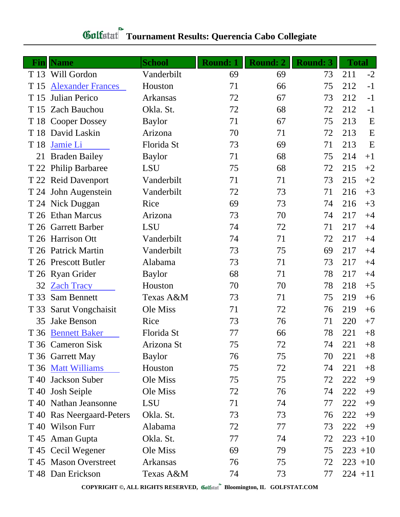| Fin  | <b>Name</b>               | <b>School</b> | <b>Round: 1</b> | Round: 2 | <b>Round: 3</b> | <b>Total</b> |       |
|------|---------------------------|---------------|-----------------|----------|-----------------|--------------|-------|
|      | T 13 Will Gordon          | Vanderbilt    | 69              | 69       | 73              | 211          | $-2$  |
| T 15 | <b>Alexander Frances</b>  | Houston       | 71              | 66       | 75              | 212          | $-1$  |
| T 15 | Julian Perico             | Arkansas      | 72              | 67       | 73              | 212          | $-1$  |
| T 15 | <b>Zach Bauchou</b>       | Okla. St.     | 72              | 68       | 72              | 212          | $-1$  |
|      | T 18 Cooper Dossey        | <b>Baylor</b> | 71              | 67       | 75              | 213          | E     |
|      | T 18 David Laskin         | Arizona       | 70              | 71       | 72              | 213          | E     |
| T 18 | Jamie Li                  | Florida St    | 73              | 69       | 71              | 213          | E     |
| 21   | <b>Braden Bailey</b>      | <b>Baylor</b> | 71              | 68       | 75              | 214          | $+1$  |
|      | T 22 Philip Barbaree      | <b>LSU</b>    | 75              | 68       | 72              | 215          | $+2$  |
|      | T 22 Reid Davenport       | Vanderbilt    | 71              | 71       | 73              | 215          | $+2$  |
|      | T 24 John Augenstein      | Vanderbilt    | 72              | 73       | 71              | 216          | $+3$  |
|      | T 24 Nick Duggan          | Rice          | 69              | 73       | 74              | 216          | $+3$  |
|      | T 26 Ethan Marcus         | Arizona       | 73              | 70       | 74              | 217          | $+4$  |
|      | T 26 Garrett Barber       | <b>LSU</b>    | 74              | 72       | 71              | 217          | $+4$  |
|      | T 26 Harrison Ott         | Vanderbilt    | 74              | 71       | 72              | 217          | $+4$  |
|      | T 26 Patrick Martin       | Vanderbilt    | 73              | 75       | 69              | 217          | $+4$  |
|      | T 26 Prescott Butler      | Alabama       | 73              | 71       | 73              | 217          | $+4$  |
|      | T 26 Ryan Grider          | <b>Baylor</b> | 68              | 71       | 78              | 217          | $+4$  |
| 32   | <b>Zach Tracy</b>         | Houston       | 70              | 70       | 78              | 218          | $+5$  |
| T 33 | Sam Bennett               | Texas A&M     | 73              | 71       | 75              | 219          | $+6$  |
| T 33 | Sarut Vongchaisit         | Ole Miss      | 71              | 72       | 76              | 219          | $+6$  |
| 35   | Jake Benson               | Rice          | 73              | 76       | 71              | 220          | $+7$  |
|      | T 36 Bennett Baker        | Florida St    | 77              | 66       | 78              | 221          | $+8$  |
|      | T 36 Cameron Sisk         | Arizona St    | 75              | 72       | 74              | 221          | $+8$  |
|      | T 36 Garrett May          | <b>Baylor</b> | 76              | 75       | 70              | 221          | $+8$  |
|      | T 36 Matt Williams        | Houston       | 75              | 72       | 74              | 221          | $+8$  |
| T 40 | Jackson Suber             | Ole Miss      | 75              | 75       | 72              | 222          | $+9$  |
| T 40 | <b>Josh Seiple</b>        | Ole Miss      | 72              | 76       | 74              | 222          | $+9$  |
|      | T 40 Nathan Jeansonne     | <b>LSU</b>    | 71              | 74       | 77              | 222          | $+9$  |
|      | T 40 Ras Neergaard-Peters | Okla. St.     | 73              | 73       | 76              | 222          | $+9$  |
|      | T 40 Wilson Furr          | Alabama       | 72              | 77       | 73              | 222          | $+9$  |
|      | T 45 Aman Gupta           | Okla. St.     | 77              | 74       | 72              | 223          | $+10$ |
|      | T 45 Cecil Wegener        | Ole Miss      | 69              | 79       | 75              | $223 + 10$   |       |
|      | T 45 Mason Overstreet     | Arkansas      | 76              | 75       | 72              | $223 + 10$   |       |
|      | T 48 Dan Erickson         | Texas A&M     | 74              | 73       | 77              | $224 + 11$   |       |

## **Tournament Results: Querencia Cabo Collegiate**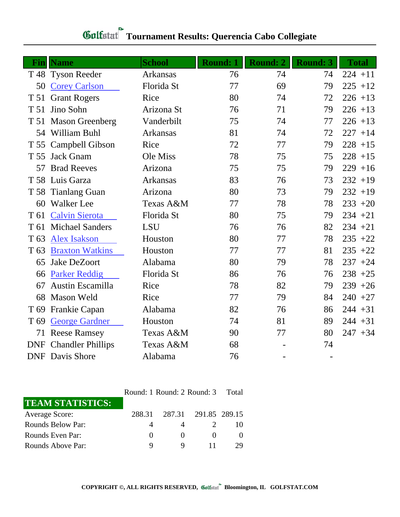| Fin             | <b>Name</b>                  | <b>School</b> | <b>Round: 1</b> | <b>Round: 2</b> | <b>Round: 3</b> | <b>Total</b> |
|-----------------|------------------------------|---------------|-----------------|-----------------|-----------------|--------------|
|                 | T 48 Tyson Reeder            | Arkansas      | 76              | 74              | 74              | $224 + 11$   |
| 50              | <b>Corey Carlson</b>         | Florida St    | 77              | 69              | 79              | $225 + 12$   |
| T 51            | <b>Grant Rogers</b>          | Rice          | 80              | 74              | 72              | $226 + 13$   |
| T 51            | Jino Sohn                    | Arizona St    | 76              | 71              | 79              | $226 + 13$   |
|                 | T 51 Mason Greenberg         | Vanderbilt    | 75              | 74              | 77              | $226 + 13$   |
|                 | 54 William Buhl              | Arkansas      | 81              | 74              | 72              | $227 + 14$   |
|                 | T 55 Campbell Gibson         | Rice          | 72              | 77              | 79              | $228 + 15$   |
| T 55            | <b>Jack Gnam</b>             | Ole Miss      | 78              | 75              | 75              | $228 + 15$   |
| 57              | <b>Brad Reeves</b>           | Arizona       | 75              | 75              | 79              | $229 + 16$   |
|                 | T 58 Luis Garza              | Arkansas      | 83              | 76              | 73              | $232 + 19$   |
|                 | T 58 Tianlang Guan           | Arizona       | 80              | 73              | 79              | $232 + 19$   |
| 60              | <b>Walker</b> Lee            | Texas A&M     | 77              | 78              | 78              | $233 + 20$   |
| T 61            | <b>Calvin Sierota</b>        | Florida St    | 80              | 75              | 79              | $234 + 21$   |
| T 61            | <b>Michael Sanders</b>       | LSU           | 76              | 76              | 82              | $234 + 21$   |
| T <sub>63</sub> | <b>Alex Isakson</b>          | Houston       | 80              | 77              | 78              | $235 + 22$   |
| T 63            | <b>Braxton Watkins</b>       | Houston       | 77              | 77              | 81              | $235 + 22$   |
| 65              | Jake DeZoort                 | Alabama       | 80              | 79              | 78              | $237 + 24$   |
| 66              | <b>Parker Reddig</b>         | Florida St    | 86              | 76              | 76              | $238 + 25$   |
| 67              | Austin Escamilla             | Rice          | 78              | 82              | 79              | $239 + 26$   |
| 68              | <b>Mason Weld</b>            | Rice          | 77              | 79              | 84              | $240 + 27$   |
| T <sub>69</sub> | <b>Frankie Capan</b>         | Alabama       | 82              | 76              | 86              | $244 + 31$   |
| T <sub>69</sub> | <b>George Gardner</b>        | Houston       | 74              | 81              | 89              | $244 + 31$   |
| 71              | <b>Reese Ramsey</b>          | Texas A&M     | 90              | 77              | 80              | $247 + 34$   |
|                 | <b>DNF</b> Chandler Phillips | Texas A&M     | 68              |                 | 74              |              |
|                 | <b>DNF</b> Davis Shore       | Alabama       | 76              |                 |                 |              |

## **Tournament Results: Querencia Cabo Collegiate**

|                         |                  | Round: 1 Round: 2 Round: 3 |                      |    |  |
|-------------------------|------------------|----------------------------|----------------------|----|--|
| <b>TEAM STATISTICS:</b> |                  |                            |                      |    |  |
| <b>Average Score:</b>   | 288.31           |                            | 287.31 291.85 289.15 |    |  |
| Rounds Below Par:       |                  |                            |                      |    |  |
| Rounds Even Par:        | $\left( \right)$ | $\theta$                   |                      |    |  |
| Rounds Above Par:       | 9                |                            |                      | 29 |  |